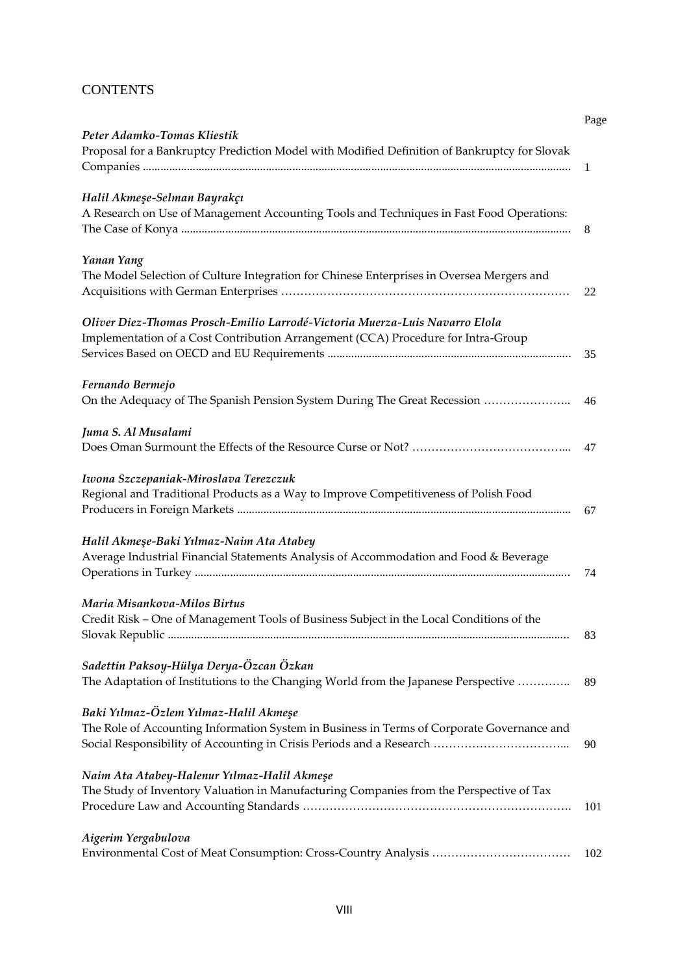## **CONTENTS**

|                                                                                              | Page |
|----------------------------------------------------------------------------------------------|------|
| Peter Adamko-Tomas Kliestik                                                                  |      |
| Proposal for a Bankruptcy Prediction Model with Modified Definition of Bankruptcy for Slovak |      |
|                                                                                              | 1    |
| Halil Akmeşe-Selman Bayrakçı                                                                 |      |
| A Research on Use of Management Accounting Tools and Techniques in Fast Food Operations:     |      |
|                                                                                              | 8    |
| Yanan Yang                                                                                   |      |
| The Model Selection of Culture Integration for Chinese Enterprises in Oversea Mergers and    |      |
|                                                                                              | 22   |
|                                                                                              |      |
| Oliver Diez-Thomas Prosch-Emilio Larrodé-Victoria Muerza-Luis Navarro Elola                  |      |
| Implementation of a Cost Contribution Arrangement (CCA) Procedure for Intra-Group            |      |
|                                                                                              | 35   |
| Fernando Bermejo                                                                             |      |
| On the Adequacy of The Spanish Pension System During The Great Recession                     | 46   |
| Juma S. Al Musalami                                                                          |      |
|                                                                                              | 47   |
| Iwona Szczepaniak-Miroslava Terezczuk                                                        |      |
| Regional and Traditional Products as a Way to Improve Competitiveness of Polish Food         |      |
|                                                                                              | 67   |
| Halil Akmeşe-Baki Yılmaz-Naim Ata Atabey                                                     |      |
| Average Industrial Financial Statements Analysis of Accommodation and Food & Beverage        |      |
|                                                                                              | 74   |
| Maria Misankova-Milos Birtus                                                                 |      |
| Credit Risk - One of Management Tools of Business Subject in the Local Conditions of the     |      |
|                                                                                              | 83   |
|                                                                                              |      |
| Sadettin Paksoy-Hülya Derya-Özcan Özkan                                                      |      |
| The Adaptation of Institutions to the Changing World from the Japanese Perspective           | 89   |
| Baki Yılmaz-Özlem Yılmaz-Halil Akmeşe                                                        |      |
| The Role of Accounting Information System in Business in Terms of Corporate Governance and   |      |
|                                                                                              | 90   |
| Naim Ata Atabey-Halenur Yılmaz-Halil Akmeşe                                                  |      |
| The Study of Inventory Valuation in Manufacturing Companies from the Perspective of Tax      |      |
|                                                                                              | 101  |
| Aigerim Yergabulova                                                                          |      |
|                                                                                              | 102  |
|                                                                                              |      |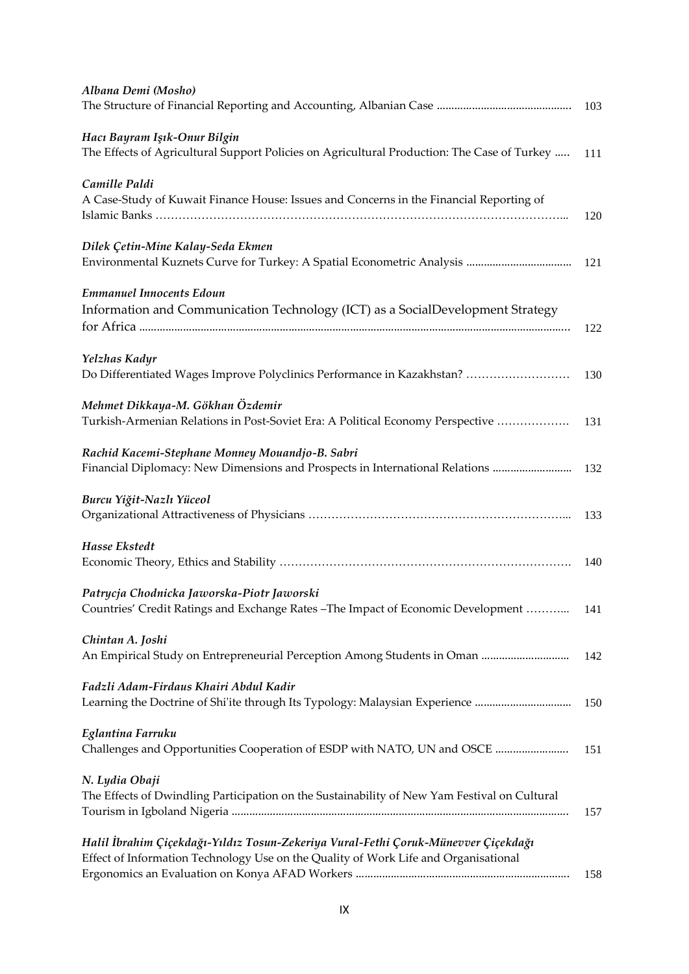| Albana Demi (Mosho)                                                                                                                                                       | 103 |
|---------------------------------------------------------------------------------------------------------------------------------------------------------------------------|-----|
| Hacı Bayram Işık-Onur Bilgin<br>The Effects of Agricultural Support Policies on Agricultural Production: The Case of Turkey                                               | 111 |
| Camille Paldi<br>A Case-Study of Kuwait Finance House: Issues and Concerns in the Financial Reporting of                                                                  | 120 |
| Dilek Çetin-Mine Kalay-Seda Ekmen                                                                                                                                         | 121 |
| <b>Emmanuel Innocents Edoun</b><br>Information and Communication Technology (ICT) as a SocialDevelopment Strategy                                                         | 122 |
| Yelzhas Kadyr<br>Do Differentiated Wages Improve Polyclinics Performance in Kazakhstan?                                                                                   | 130 |
| Mehmet Dikkaya-M. Gökhan Özdemir<br>Turkish-Armenian Relations in Post-Soviet Era: A Political Economy Perspective                                                        | 131 |
| Rachid Kacemi-Stephane Monney Mouandjo-B. Sabri<br>Financial Diplomacy: New Dimensions and Prospects in International Relations                                           | 132 |
| Burcu Yiğit-Nazlı Yüceol                                                                                                                                                  | 133 |
| Hasse Ekstedt                                                                                                                                                             | 140 |
| Patrycja Chodnicka Jaworska-Piotr Jaworski<br>Countries' Credit Ratings and Exchange Rates - The Impact of Economic Development                                           | 141 |
| Chintan A. Joshi<br>An Empirical Study on Entrepreneurial Perception Among Students in Oman                                                                               | 142 |
| Fadzli Adam-Firdaus Khairi Abdul Kadir<br>Learning the Doctrine of Shi'ite through Its Typology: Malaysian Experience                                                     | 150 |
| Eglantina Farruku<br>Challenges and Opportunities Cooperation of ESDP with NATO, UN and OSCE                                                                              | 151 |
| N. Lydia Obaji<br>The Effects of Dwindling Participation on the Sustainability of New Yam Festival on Cultural                                                            | 157 |
| Halil İbrahim Çiçekdağı-Yıldız Tosun-Zekeriya Vural-Fethi Çoruk-Münevver Çiçekdağı<br>Effect of Information Technology Use on the Quality of Work Life and Organisational | 158 |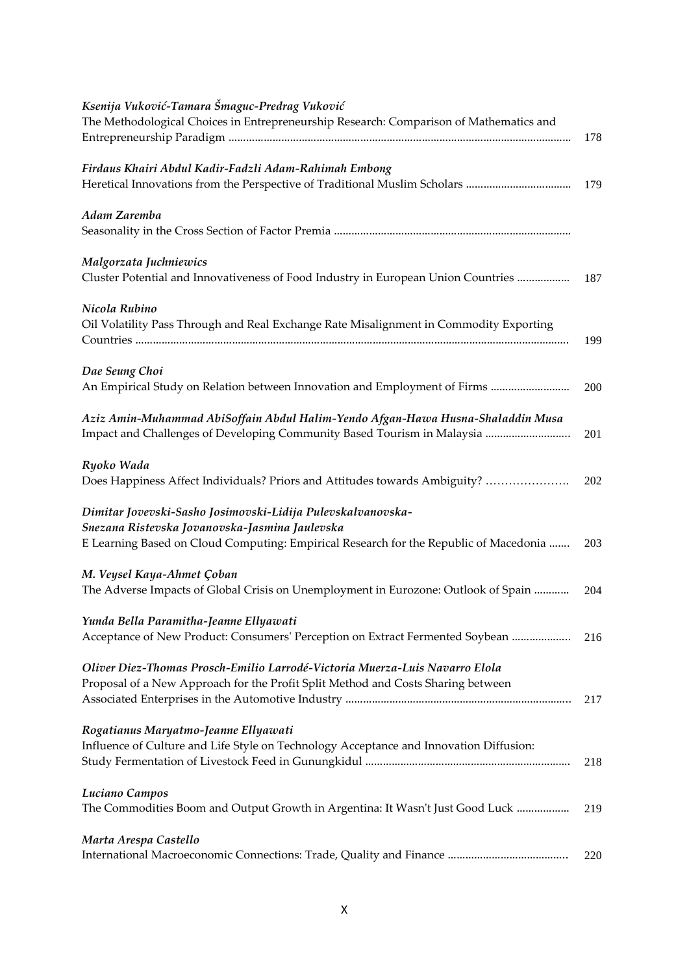| Ksenija Vuković-Tamara Šmaguc-Predrag Vuković                                          |     |
|----------------------------------------------------------------------------------------|-----|
| The Methodological Choices in Entrepreneurship Research: Comparison of Mathematics and |     |
|                                                                                        | 178 |
| Firdaus Khairi Abdul Kadir-Fadzli Adam-Rahimah Embong                                  |     |
|                                                                                        | 179 |
| Adam Zaremba                                                                           |     |
|                                                                                        |     |
| Malgorzata Juchniewics                                                                 |     |
| Cluster Potential and Innovativeness of Food Industry in European Union Countries      | 187 |
| Nicola Rubino                                                                          |     |
| Oil Volatility Pass Through and Real Exchange Rate Misalignment in Commodity Exporting |     |
|                                                                                        | 199 |
| Dae Seung Choi                                                                         |     |
| An Empirical Study on Relation between Innovation and Employment of Firms              | 200 |
| Aziz Amin-Muhammad AbiSoffain Abdul Halim-Yendo Afgan-Hawa Husna-Shaladdin Musa        |     |
| Impact and Challenges of Developing Community Based Tourism in Malaysia                | 201 |
| Ryoko Wada                                                                             |     |
| Does Happiness Affect Individuals? Priors and Attitudes towards Ambiguity?             | 202 |
| Dimitar Jovevski-Sasho Josimovski-Lidija Pulevskalvanovska-                            |     |
| Snezana Ristevska Jovanovska-Jasmina Jaulevska                                         |     |
| E Learning Based on Cloud Computing: Empirical Research for the Republic of Macedonia  | 203 |
| M. Veysel Kaya-Ahmet Çoban                                                             |     |
| The Adverse Impacts of Global Crisis on Unemployment in Eurozone: Outlook of Spain     | 204 |
| Yunda Bella Paramitha-Jeanne Ellyawati                                                 |     |
| Acceptance of New Product: Consumers' Perception on Extract Fermented Soybean          | 216 |
| Oliver Diez-Thomas Prosch-Emilio Larrodé-Victoria Muerza-Luis Navarro Elola            |     |
| Proposal of a New Approach for the Profit Split Method and Costs Sharing between       |     |
|                                                                                        | 217 |
| Rogatianus Maryatmo-Jeanne Ellyawati                                                   |     |
| Influence of Culture and Life Style on Technology Acceptance and Innovation Diffusion: |     |
|                                                                                        | 218 |
| Luciano Campos                                                                         |     |
| The Commodities Boom and Output Growth in Argentina: It Wasn't Just Good Luck          | 219 |
| Marta Arespa Castello                                                                  |     |
|                                                                                        | 220 |